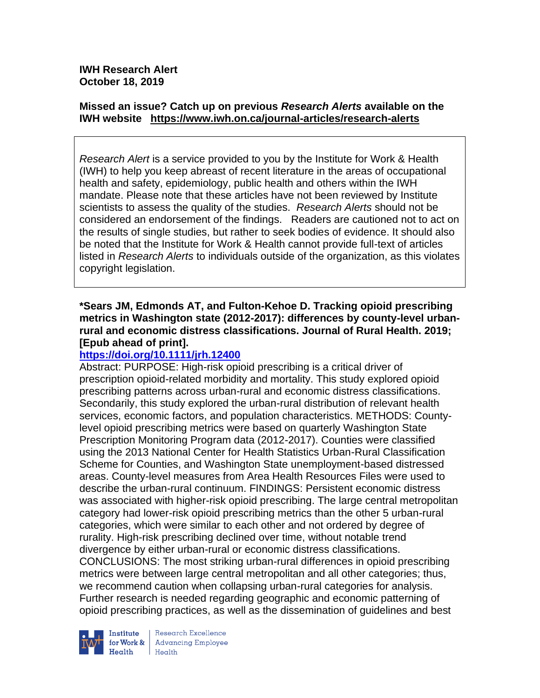### **Missed an issue? Catch up on previous** *Research Alerts* **available on the [IWH website](http://www.iwh.on.ca/research-alerts) <https://www.iwh.on.ca/journal-articles/research-alerts>**

*Research Alert* is a service provided to you by the Institute for Work & Health (IWH) to help you keep abreast of recent literature in the areas of occupational health and safety, epidemiology, public health and others within the IWH mandate. Please note that these articles have not been reviewed by Institute scientists to assess the quality of the studies. *Research Alerts* should not be considered an endorsement of the findings. Readers are cautioned not to act on the results of single studies, but rather to seek bodies of evidence. It should also be noted that the Institute for Work & Health cannot provide full-text of articles listed in *Research Alerts* to individuals outside of the organization, as this violates copyright legislation.

### **\*Sears JM, Edmonds AT, and Fulton-Kehoe D. Tracking opioid prescribing metrics in Washington state (2012-2017): differences by county-level urbanrural and economic distress classifications. Journal of Rural Health. 2019; [Epub ahead of print].**

# **<https://doi.org/10.1111/jrh.12400>**

Abstract: PURPOSE: High-risk opioid prescribing is a critical driver of prescription opioid-related morbidity and mortality. This study explored opioid prescribing patterns across urban-rural and economic distress classifications. Secondarily, this study explored the urban-rural distribution of relevant health services, economic factors, and population characteristics. METHODS: Countylevel opioid prescribing metrics were based on quarterly Washington State Prescription Monitoring Program data (2012-2017). Counties were classified using the 2013 National Center for Health Statistics Urban-Rural Classification Scheme for Counties, and Washington State unemployment-based distressed areas. County-level measures from Area Health Resources Files were used to describe the urban-rural continuum. FINDINGS: Persistent economic distress was associated with higher-risk opioid prescribing. The large central metropolitan category had lower-risk opioid prescribing metrics than the other 5 urban-rural categories, which were similar to each other and not ordered by degree of rurality. High-risk prescribing declined over time, without notable trend divergence by either urban-rural or economic distress classifications. CONCLUSIONS: The most striking urban-rural differences in opioid prescribing metrics were between large central metropolitan and all other categories; thus, we recommend caution when collapsing urban-rural categories for analysis. Further research is needed regarding geographic and economic patterning of opioid prescribing practices, as well as the dissemination of guidelines and best



**Institute** Research Excellence<br> **for Work &** Advancing Employee  $H_{\text{each}}$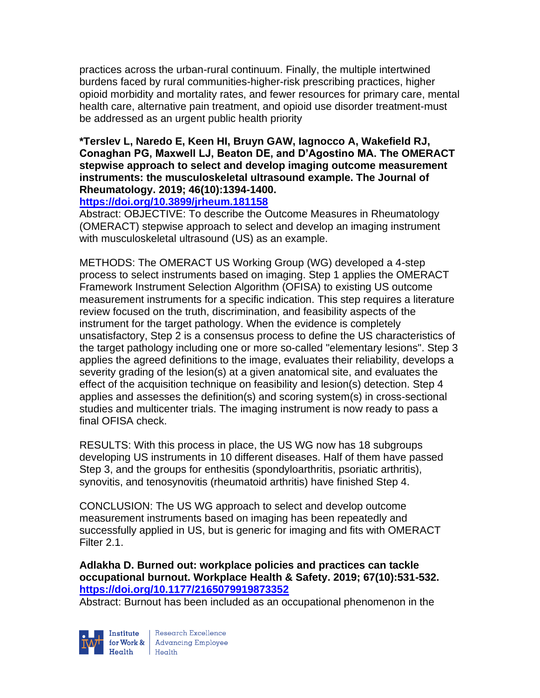practices across the urban-rural continuum. Finally, the multiple intertwined burdens faced by rural communities-higher-risk prescribing practices, higher opioid morbidity and mortality rates, and fewer resources for primary care, mental health care, alternative pain treatment, and opioid use disorder treatment-must be addressed as an urgent public health priority

### **\*Terslev L, Naredo E, Keen HI, Bruyn GAW, Iagnocco A, Wakefield RJ, Conaghan PG, Maxwell LJ, Beaton DE, and D'Agostino MA. The OMERACT stepwise approach to select and develop imaging outcome measurement instruments: the musculoskeletal ultrasound example. The Journal of Rheumatology. 2019; 46(10):1394-1400.**

#### **<https://doi.org/10.3899/jrheum.181158>**

Abstract: OBJECTIVE: To describe the Outcome Measures in Rheumatology (OMERACT) stepwise approach to select and develop an imaging instrument with musculoskeletal ultrasound (US) as an example.

METHODS: The OMERACT US Working Group (WG) developed a 4-step process to select instruments based on imaging. Step 1 applies the OMERACT Framework Instrument Selection Algorithm (OFISA) to existing US outcome measurement instruments for a specific indication. This step requires a literature review focused on the truth, discrimination, and feasibility aspects of the instrument for the target pathology. When the evidence is completely unsatisfactory, Step 2 is a consensus process to define the US characteristics of the target pathology including one or more so-called "elementary lesions". Step 3 applies the agreed definitions to the image, evaluates their reliability, develops a severity grading of the lesion(s) at a given anatomical site, and evaluates the effect of the acquisition technique on feasibility and lesion(s) detection. Step 4 applies and assesses the definition(s) and scoring system(s) in cross-sectional studies and multicenter trials. The imaging instrument is now ready to pass a final OFISA check.

RESULTS: With this process in place, the US WG now has 18 subgroups developing US instruments in 10 different diseases. Half of them have passed Step 3, and the groups for enthesitis (spondyloarthritis, psoriatic arthritis), synovitis, and tenosynovitis (rheumatoid arthritis) have finished Step 4.

CONCLUSION: The US WG approach to select and develop outcome measurement instruments based on imaging has been repeatedly and successfully applied in US, but is generic for imaging and fits with OMERACT Filter 2.1.

**Adlakha D. Burned out: workplace policies and practices can tackle occupational burnout. Workplace Health & Safety. 2019; 67(10):531-532. <https://doi.org/10.1177/2165079919873352>** 

Abstract: Burnout has been included as an occupational phenomenon in the

Institute

Research Excellence Finantium Research Excellence<br>
Finantium Research Employee<br>
Realth Health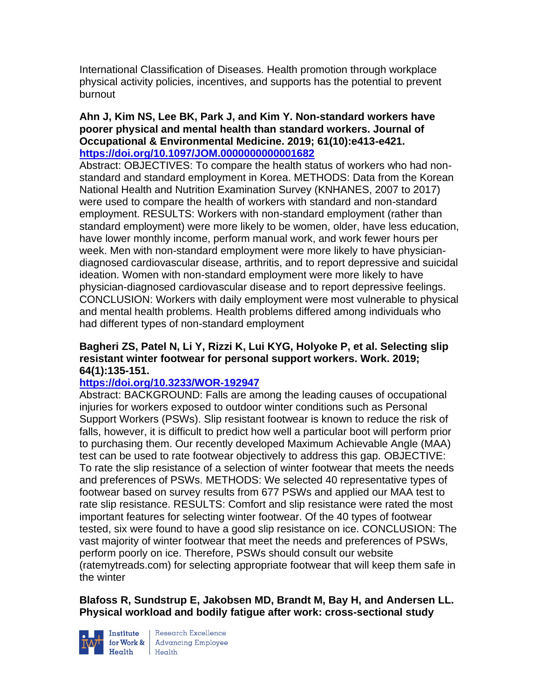International Classification of Diseases. Health promotion through workplace physical activity policies, incentives, and supports has the potential to prevent burnout

#### **Ahn J, Kim NS, Lee BK, Park J, and Kim Y. Non-standard workers have poorer physical and mental health than standard workers. Journal of Occupational & Environmental Medicine. 2019; 61(10):e413-e421. <https://doi.org/10.1097/JOM.0000000000001682>**

Abstract: OBJECTIVES: To compare the health status of workers who had nonstandard and standard employment in Korea. METHODS: Data from the Korean National Health and Nutrition Examination Survey (KNHANES, 2007 to 2017) were used to compare the health of workers with standard and non-standard employment. RESULTS: Workers with non-standard employment (rather than standard employment) were more likely to be women, older, have less education, have lower monthly income, perform manual work, and work fewer hours per week. Men with non-standard employment were more likely to have physiciandiagnosed cardiovascular disease, arthritis, and to report depressive and suicidal ideation. Women with non-standard employment were more likely to have physician-diagnosed cardiovascular disease and to report depressive feelings. CONCLUSION: Workers with daily employment were most vulnerable to physical and mental health problems. Health problems differed among individuals who had different types of non-standard employment

### **Bagheri ZS, Patel N, Li Y, Rizzi K, Lui KYG, Holyoke P, et al. Selecting slip resistant winter footwear for personal support workers. Work. 2019; 64(1):135-151.**

### **<https://doi.org/10.3233/WOR-192947>**

Abstract: BACKGROUND: Falls are among the leading causes of occupational injuries for workers exposed to outdoor winter conditions such as Personal Support Workers (PSWs). Slip resistant footwear is known to reduce the risk of falls, however, it is difficult to predict how well a particular boot will perform prior to purchasing them. Our recently developed Maximum Achievable Angle (MAA) test can be used to rate footwear objectively to address this gap. OBJECTIVE: To rate the slip resistance of a selection of winter footwear that meets the needs and preferences of PSWs. METHODS: We selected 40 representative types of footwear based on survey results from 677 PSWs and applied our MAA test to rate slip resistance. RESULTS: Comfort and slip resistance were rated the most important features for selecting winter footwear. Of the 40 types of footwear tested, six were found to have a good slip resistance on ice. CONCLUSION: The vast majority of winter footwear that meet the needs and preferences of PSWs, perform poorly on ice. Therefore, PSWs should consult our website (ratemytreads.com) for selecting appropriate footwear that will keep them safe in the winter

#### **Blafoss R, Sundstrup E, Jakobsen MD, Brandt M, Bay H, and Andersen LL. Physical workload and bodily fatigue after work: cross-sectional study**



**Institute** Research Excellence<br> **for Work &** Advancing Employee<br> **Health** Health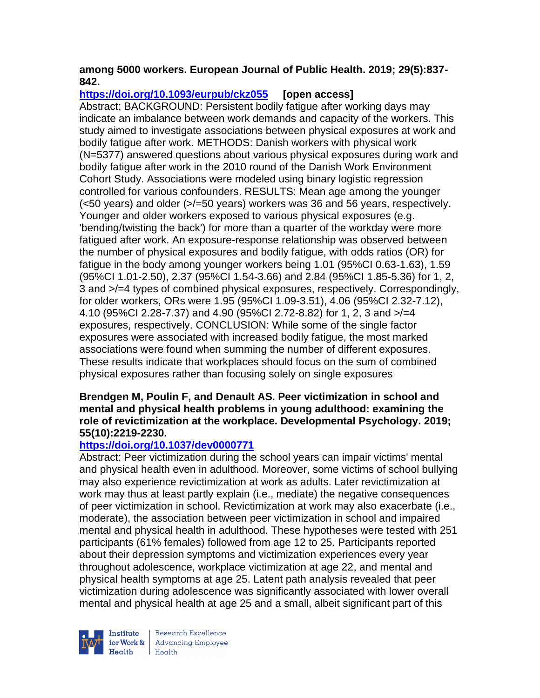### **among 5000 workers. European Journal of Public Health. 2019; 29(5):837- 842.**

# **<https://doi.org/10.1093/eurpub/ckz055> [open access]**

Abstract: BACKGROUND: Persistent bodily fatigue after working days may indicate an imbalance between work demands and capacity of the workers. This study aimed to investigate associations between physical exposures at work and bodily fatigue after work. METHODS: Danish workers with physical work (N=5377) answered questions about various physical exposures during work and bodily fatigue after work in the 2010 round of the Danish Work Environment Cohort Study. Associations were modeled using binary logistic regression controlled for various confounders. RESULTS: Mean age among the younger (<50 years) and older (>/=50 years) workers was 36 and 56 years, respectively. Younger and older workers exposed to various physical exposures (e.g. 'bending/twisting the back') for more than a quarter of the workday were more fatigued after work. An exposure-response relationship was observed between the number of physical exposures and bodily fatigue, with odds ratios (OR) for fatigue in the body among younger workers being 1.01 (95%CI 0.63-1.63), 1.59 (95%CI 1.01-2.50), 2.37 (95%CI 1.54-3.66) and 2.84 (95%CI 1.85-5.36) for 1, 2, 3 and >/=4 types of combined physical exposures, respectively. Correspondingly, for older workers, ORs were 1.95 (95%CI 1.09-3.51), 4.06 (95%CI 2.32-7.12), 4.10 (95%CI 2.28-7.37) and 4.90 (95%CI 2.72-8.82) for 1, 2, 3 and >/=4 exposures, respectively. CONCLUSION: While some of the single factor exposures were associated with increased bodily fatigue, the most marked associations were found when summing the number of different exposures. These results indicate that workplaces should focus on the sum of combined physical exposures rather than focusing solely on single exposures

#### **Brendgen M, Poulin F, and Denault AS. Peer victimization in school and mental and physical health problems in young adulthood: examining the role of revictimization at the workplace. Developmental Psychology. 2019; 55(10):2219-2230.**

# **<https://doi.org/10.1037/dev0000771>**

Abstract: Peer victimization during the school years can impair victims' mental and physical health even in adulthood. Moreover, some victims of school bullying may also experience revictimization at work as adults. Later revictimization at work may thus at least partly explain (i.e., mediate) the negative consequences of peer victimization in school. Revictimization at work may also exacerbate (i.e., moderate), the association between peer victimization in school and impaired mental and physical health in adulthood. These hypotheses were tested with 251 participants (61% females) followed from age 12 to 25. Participants reported about their depression symptoms and victimization experiences every year throughout adolescence, workplace victimization at age 22, and mental and physical health symptoms at age 25. Latent path analysis revealed that peer victimization during adolescence was significantly associated with lower overall mental and physical health at age 25 and a small, albeit significant part of this



Research Excellence for Work & | Advancing Employee Health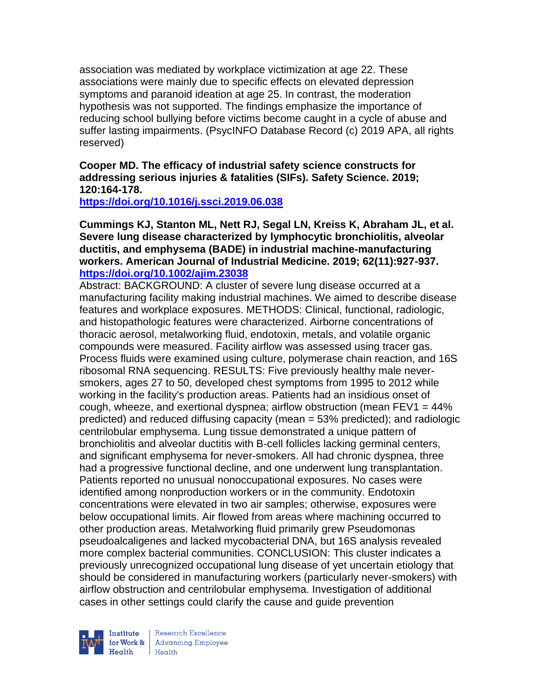association was mediated by workplace victimization at age 22. These associations were mainly due to specific effects on elevated depression symptoms and paranoid ideation at age 25. In contrast, the moderation hypothesis was not supported. The findings emphasize the importance of reducing school bullying before victims become caught in a cycle of abuse and suffer lasting impairments. (PsycINFO Database Record (c) 2019 APA, all rights reserved)

**Cooper MD. The efficacy of industrial safety science constructs for addressing serious injuries & fatalities (SIFs). Safety Science. 2019; 120:164-178.** 

**<https://doi.org/10.1016/j.ssci.2019.06.038>** 

**Cummings KJ, Stanton ML, Nett RJ, Segal LN, Kreiss K, Abraham JL, et al. Severe lung disease characterized by lymphocytic bronchiolitis, alveolar ductitis, and emphysema (BADE) in industrial machine-manufacturing workers. American Journal of Industrial Medicine. 2019; 62(11):927-937. <https://doi.org/10.1002/ajim.23038>** 

Abstract: BACKGROUND: A cluster of severe lung disease occurred at a manufacturing facility making industrial machines. We aimed to describe disease features and workplace exposures. METHODS: Clinical, functional, radiologic, and histopathologic features were characterized. Airborne concentrations of thoracic aerosol, metalworking fluid, endotoxin, metals, and volatile organic compounds were measured. Facility airflow was assessed using tracer gas. Process fluids were examined using culture, polymerase chain reaction, and 16S ribosomal RNA sequencing. RESULTS: Five previously healthy male neversmokers, ages 27 to 50, developed chest symptoms from 1995 to 2012 while working in the facility's production areas. Patients had an insidious onset of cough, wheeze, and exertional dyspnea; airflow obstruction (mean  $FEV1 = 44\%$ ) predicted) and reduced diffusing capacity (mean = 53% predicted); and radiologic centrilobular emphysema. Lung tissue demonstrated a unique pattern of bronchiolitis and alveolar ductitis with B-cell follicles lacking germinal centers, and significant emphysema for never-smokers. All had chronic dyspnea, three had a progressive functional decline, and one underwent lung transplantation. Patients reported no unusual nonoccupational exposures. No cases were identified among nonproduction workers or in the community. Endotoxin concentrations were elevated in two air samples; otherwise, exposures were below occupational limits. Air flowed from areas where machining occurred to other production areas. Metalworking fluid primarily grew Pseudomonas pseudoalcaligenes and lacked mycobacterial DNA, but 16S analysis revealed more complex bacterial communities. CONCLUSION: This cluster indicates a previously unrecognized occupational lung disease of yet uncertain etiology that should be considered in manufacturing workers (particularly never-smokers) with airflow obstruction and centrilobular emphysema. Investigation of additional cases in other settings could clarify the cause and guide prevention



Research Excellence for Work & | Advancing Employee Health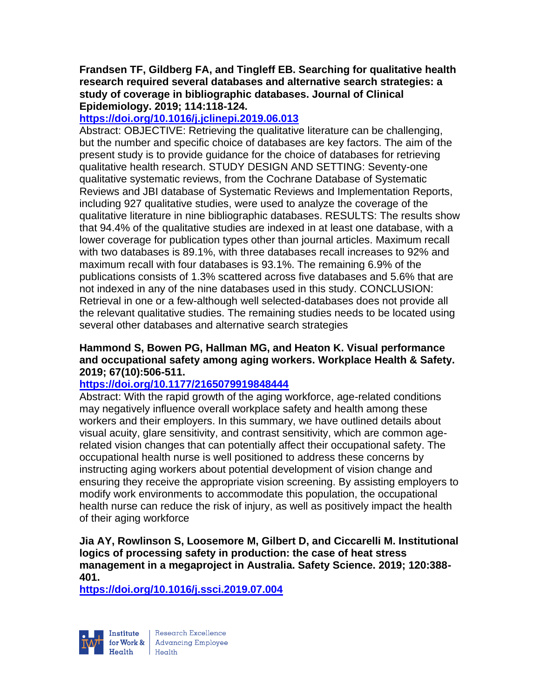#### **Frandsen TF, Gildberg FA, and Tingleff EB. Searching for qualitative health research required several databases and alternative search strategies: a study of coverage in bibliographic databases. Journal of Clinical Epidemiology. 2019; 114:118-124.**

### **<https://doi.org/10.1016/j.jclinepi.2019.06.013>**

Abstract: OBJECTIVE: Retrieving the qualitative literature can be challenging, but the number and specific choice of databases are key factors. The aim of the present study is to provide guidance for the choice of databases for retrieving qualitative health research. STUDY DESIGN AND SETTING: Seventy-one qualitative systematic reviews, from the Cochrane Database of Systematic Reviews and JBI database of Systematic Reviews and Implementation Reports, including 927 qualitative studies, were used to analyze the coverage of the qualitative literature in nine bibliographic databases. RESULTS: The results show that 94.4% of the qualitative studies are indexed in at least one database, with a lower coverage for publication types other than journal articles. Maximum recall with two databases is 89.1%, with three databases recall increases to 92% and maximum recall with four databases is 93.1%. The remaining 6.9% of the publications consists of 1.3% scattered across five databases and 5.6% that are not indexed in any of the nine databases used in this study. CONCLUSION: Retrieval in one or a few-although well selected-databases does not provide all the relevant qualitative studies. The remaining studies needs to be located using several other databases and alternative search strategies

### **Hammond S, Bowen PG, Hallman MG, and Heaton K. Visual performance and occupational safety among aging workers. Workplace Health & Safety. 2019; 67(10):506-511.**

### **<https://doi.org/10.1177/2165079919848444>**

Abstract: With the rapid growth of the aging workforce, age-related conditions may negatively influence overall workplace safety and health among these workers and their employers. In this summary, we have outlined details about visual acuity, glare sensitivity, and contrast sensitivity, which are common agerelated vision changes that can potentially affect their occupational safety. The occupational health nurse is well positioned to address these concerns by instructing aging workers about potential development of vision change and ensuring they receive the appropriate vision screening. By assisting employers to modify work environments to accommodate this population, the occupational health nurse can reduce the risk of injury, as well as positively impact the health of their aging workforce

**Jia AY, Rowlinson S, Loosemore M, Gilbert D, and Ciccarelli M. Institutional logics of processing safety in production: the case of heat stress management in a megaproject in Australia. Safety Science. 2019; 120:388- 401.** 

**<https://doi.org/10.1016/j.ssci.2019.07.004>** 

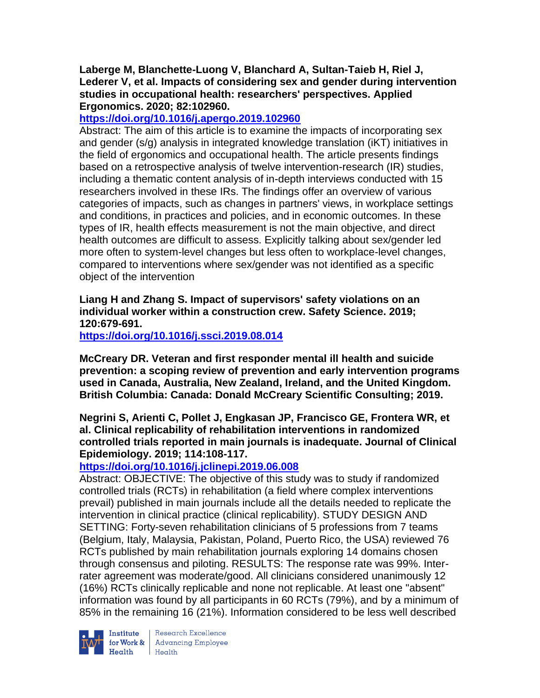#### **Laberge M, Blanchette-Luong V, Blanchard A, Sultan-Taieb H, Riel J, Lederer V, et al. Impacts of considering sex and gender during intervention studies in occupational health: researchers' perspectives. Applied Ergonomics. 2020; 82:102960.**

### **<https://doi.org/10.1016/j.apergo.2019.102960>**

Abstract: The aim of this article is to examine the impacts of incorporating sex and gender (s/g) analysis in integrated knowledge translation (iKT) initiatives in the field of ergonomics and occupational health. The article presents findings based on a retrospective analysis of twelve intervention-research (IR) studies, including a thematic content analysis of in-depth interviews conducted with 15 researchers involved in these IRs. The findings offer an overview of various categories of impacts, such as changes in partners' views, in workplace settings and conditions, in practices and policies, and in economic outcomes. In these types of IR, health effects measurement is not the main objective, and direct health outcomes are difficult to assess. Explicitly talking about sex/gender led more often to system-level changes but less often to workplace-level changes, compared to interventions where sex/gender was not identified as a specific object of the intervention

**Liang H and Zhang S. Impact of supervisors' safety violations on an individual worker within a construction crew. Safety Science. 2019; 120:679-691.** 

**<https://doi.org/10.1016/j.ssci.2019.08.014>** 

**McCreary DR. Veteran and first responder mental ill health and suicide prevention: a scoping review of prevention and early intervention programs used in Canada, Australia, New Zealand, Ireland, and the United Kingdom. British Columbia: Canada: Donald McCreary Scientific Consulting; 2019.** 

**Negrini S, Arienti C, Pollet J, Engkasan JP, Francisco GE, Frontera WR, et al. Clinical replicability of rehabilitation interventions in randomized controlled trials reported in main journals is inadequate. Journal of Clinical Epidemiology. 2019; 114:108-117.** 

### **<https://doi.org/10.1016/j.jclinepi.2019.06.008>**

Abstract: OBJECTIVE: The objective of this study was to study if randomized controlled trials (RCTs) in rehabilitation (a field where complex interventions prevail) published in main journals include all the details needed to replicate the intervention in clinical practice (clinical replicability). STUDY DESIGN AND SETTING: Forty-seven rehabilitation clinicians of 5 professions from 7 teams (Belgium, Italy, Malaysia, Pakistan, Poland, Puerto Rico, the USA) reviewed 76 RCTs published by main rehabilitation journals exploring 14 domains chosen through consensus and piloting. RESULTS: The response rate was 99%. Interrater agreement was moderate/good. All clinicians considered unanimously 12 (16%) RCTs clinically replicable and none not replicable. At least one "absent" information was found by all participants in 60 RCTs (79%), and by a minimum of 85% in the remaining 16 (21%). Information considered to be less well described



Institute Research Excellence<br>for Work & Advancing Employee<br>Health Health  $H_{\text{eath}}$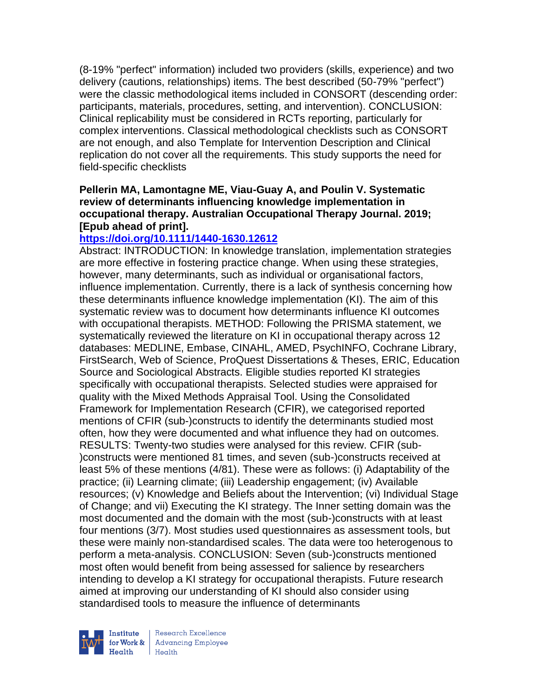(8-19% "perfect" information) included two providers (skills, experience) and two delivery (cautions, relationships) items. The best described (50-79% "perfect") were the classic methodological items included in CONSORT (descending order: participants, materials, procedures, setting, and intervention). CONCLUSION: Clinical replicability must be considered in RCTs reporting, particularly for complex interventions. Classical methodological checklists such as CONSORT are not enough, and also Template for Intervention Description and Clinical replication do not cover all the requirements. This study supports the need for field-specific checklists

### **Pellerin MA, Lamontagne ME, Viau-Guay A, and Poulin V. Systematic review of determinants influencing knowledge implementation in occupational therapy. Australian Occupational Therapy Journal. 2019; [Epub ahead of print].**

### **<https://doi.org/10.1111/1440-1630.12612>**

Abstract: INTRODUCTION: In knowledge translation, implementation strategies are more effective in fostering practice change. When using these strategies, however, many determinants, such as individual or organisational factors, influence implementation. Currently, there is a lack of synthesis concerning how these determinants influence knowledge implementation (KI). The aim of this systematic review was to document how determinants influence KI outcomes with occupational therapists. METHOD: Following the PRISMA statement, we systematically reviewed the literature on KI in occupational therapy across 12 databases: MEDLINE, Embase, CINAHL, AMED, PsychINFO, Cochrane Library, FirstSearch, Web of Science, ProQuest Dissertations & Theses, ERIC, Education Source and Sociological Abstracts. Eligible studies reported KI strategies specifically with occupational therapists. Selected studies were appraised for quality with the Mixed Methods Appraisal Tool. Using the Consolidated Framework for Implementation Research (CFIR), we categorised reported mentions of CFIR (sub-)constructs to identify the determinants studied most often, how they were documented and what influence they had on outcomes. RESULTS: Twenty-two studies were analysed for this review. CFIR (sub- )constructs were mentioned 81 times, and seven (sub-)constructs received at least 5% of these mentions (4/81). These were as follows: (i) Adaptability of the practice; (ii) Learning climate; (iii) Leadership engagement; (iv) Available resources; (v) Knowledge and Beliefs about the Intervention; (vi) Individual Stage of Change; and vii) Executing the KI strategy. The Inner setting domain was the most documented and the domain with the most (sub-)constructs with at least four mentions (3/7). Most studies used questionnaires as assessment tools, but these were mainly non-standardised scales. The data were too heterogenous to perform a meta-analysis. CONCLUSION: Seven (sub-)constructs mentioned most often would benefit from being assessed for salience by researchers intending to develop a KI strategy for occupational therapists. Future research aimed at improving our understanding of KI should also consider using standardised tools to measure the influence of determinants



Research Excellence for Work & | Advancing Employee  $H_{\text{eath}}$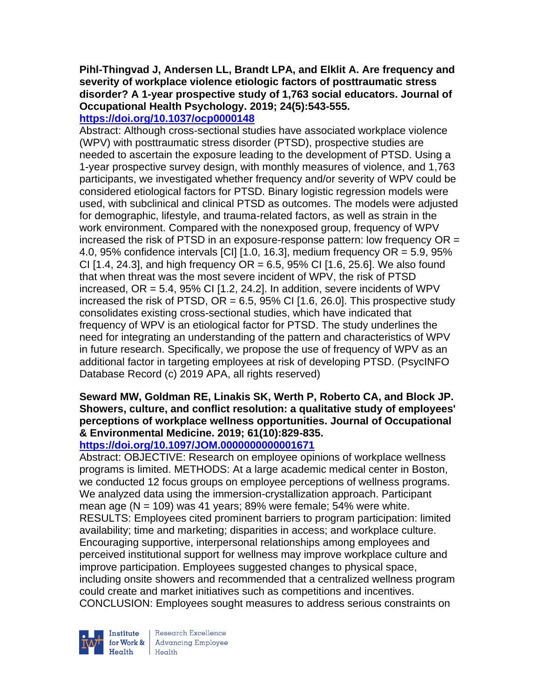# **Pihl-Thingvad J, Andersen LL, Brandt LPA, and Elklit A. Are frequency and severity of workplace violence etiologic factors of posttraumatic stress disorder? A 1-year prospective study of 1,763 social educators. Journal of Occupational Health Psychology. 2019; 24(5):543-555.**

# **<https://doi.org/10.1037/ocp0000148>**

Abstract: Although cross-sectional studies have associated workplace violence (WPV) with posttraumatic stress disorder (PTSD), prospective studies are needed to ascertain the exposure leading to the development of PTSD. Using a 1-year prospective survey design, with monthly measures of violence, and 1,763 participants, we investigated whether frequency and/or severity of WPV could be considered etiological factors for PTSD. Binary logistic regression models were used, with subclinical and clinical PTSD as outcomes. The models were adjusted for demographic, lifestyle, and trauma-related factors, as well as strain in the work environment. Compared with the nonexposed group, frequency of WPV increased the risk of PTSD in an exposure-response pattern: low frequency OR = 4.0, 95% confidence intervals  $\lbrack$  CII  $\lbrack$  1.0, 16.3], medium frequency OR = 5.9, 95% CI [1.4, 24.3], and high frequency  $OR = 6.5$ , 95% CI [1.6, 25.6]. We also found that when threat was the most severe incident of WPV, the risk of PTSD increased,  $OR = 5.4$ ,  $95\%$  CI [1.2, 24.2]. In addition, severe incidents of WPV increased the risk of PTSD,  $OR = 6.5$ , 95% CI [1.6, 26.0]. This prospective study consolidates existing cross-sectional studies, which have indicated that frequency of WPV is an etiological factor for PTSD. The study underlines the need for integrating an understanding of the pattern and characteristics of WPV in future research. Specifically, we propose the use of frequency of WPV as an additional factor in targeting employees at risk of developing PTSD. (PsycINFO Database Record (c) 2019 APA, all rights reserved)

# **Seward MW, Goldman RE, Linakis SK, Werth P, Roberto CA, and Block JP. Showers, culture, and conflict resolution: a qualitative study of employees' perceptions of workplace wellness opportunities. Journal of Occupational & Environmental Medicine. 2019; 61(10):829-835.**

### **<https://doi.org/10.1097/JOM.0000000000001671>**

Abstract: OBJECTIVE: Research on employee opinions of workplace wellness programs is limited. METHODS: At a large academic medical center in Boston, we conducted 12 focus groups on employee perceptions of wellness programs. We analyzed data using the immersion-crystallization approach. Participant mean age ( $N = 109$ ) was 41 years; 89% were female; 54% were white. RESULTS: Employees cited prominent barriers to program participation: limited availability; time and marketing; disparities in access; and workplace culture. Encouraging supportive, interpersonal relationships among employees and perceived institutional support for wellness may improve workplace culture and improve participation. Employees suggested changes to physical space, including onsite showers and recommended that a centralized wellness program could create and market initiatives such as competitions and incentives. CONCLUSION: Employees sought measures to address serious constraints on



Research Excellence for Work & | Advancing Employee  $H_{\text{each}}$